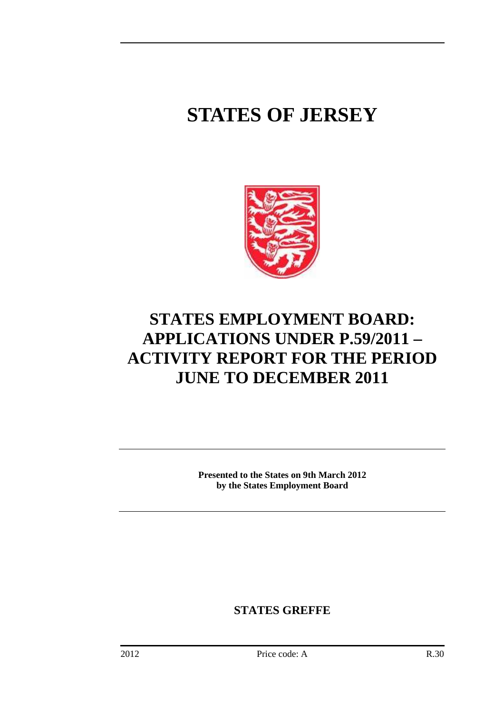# **STATES OF JERSEY**



## **STATES EMPLOYMENT BOARD: APPLICATIONS UNDER P.59/2011 – ACTIVITY REPORT FOR THE PERIOD JUNE TO DECEMBER 2011**

**Presented to the States on 9th March 2012 by the States Employment Board** 

**STATES GREFFE**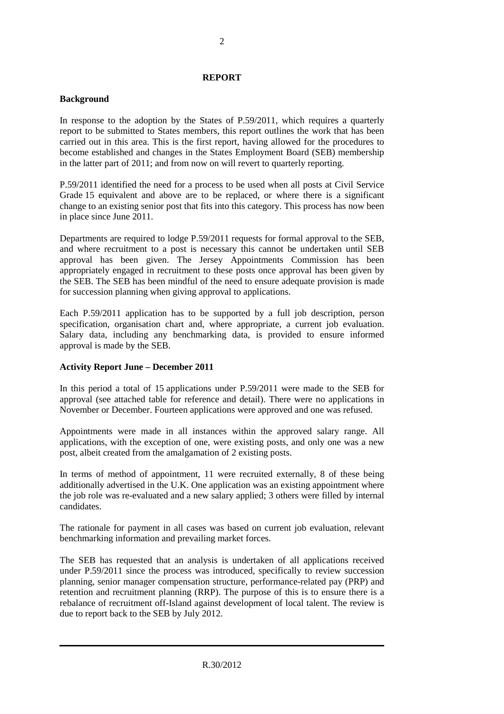#### **REPORT**

#### **Background**

In response to the adoption by the States of P.59/2011, which requires a quarterly report to be submitted to States members, this report outlines the work that has been carried out in this area. This is the first report, having allowed for the procedures to become established and changes in the States Employment Board (SEB) membership in the latter part of 2011; and from now on will revert to quarterly reporting.

P.59/2011 identified the need for a process to be used when all posts at Civil Service Grade 15 equivalent and above are to be replaced, or where there is a significant change to an existing senior post that fits into this category. This process has now been in place since June 2011.

Departments are required to lodge P.59/2011 requests for formal approval to the SEB, and where recruitment to a post is necessary this cannot be undertaken until SEB approval has been given. The Jersey Appointments Commission has been appropriately engaged in recruitment to these posts once approval has been given by the SEB. The SEB has been mindful of the need to ensure adequate provision is made for succession planning when giving approval to applications.

Each P.59/2011 application has to be supported by a full job description, person specification, organisation chart and, where appropriate, a current job evaluation. Salary data, including any benchmarking data, is provided to ensure informed approval is made by the SEB.

### **Activity Report June – December 2011**

In this period a total of 15 applications under P.59/2011 were made to the SEB for approval (see attached table for reference and detail). There were no applications in November or December. Fourteen applications were approved and one was refused.

Appointments were made in all instances within the approved salary range. All applications, with the exception of one, were existing posts, and only one was a new post, albeit created from the amalgamation of 2 existing posts.

In terms of method of appointment, 11 were recruited externally, 8 of these being additionally advertised in the U.K. One application was an existing appointment where the job role was re-evaluated and a new salary applied; 3 others were filled by internal candidates.

The rationale for payment in all cases was based on current job evaluation, relevant benchmarking information and prevailing market forces.

The SEB has requested that an analysis is undertaken of all applications received under P.59/2011 since the process was introduced, specifically to review succession planning, senior manager compensation structure, performance-related pay (PRP) and retention and recruitment planning (RRP). The purpose of this is to ensure there is a rebalance of recruitment off-Island against development of local talent. The review is due to report back to the SEB by July 2012.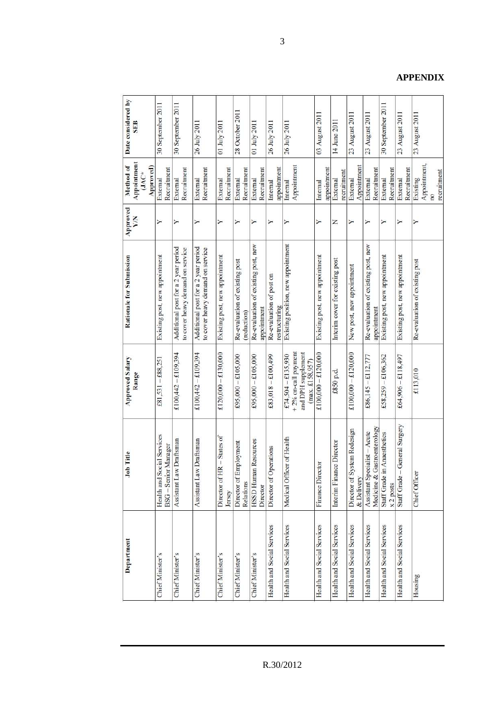| Department                 | Job Title                                                   | <b>Approved Salary</b><br>Range              | Rationale for Submission                                                | Approved<br><b>XIX</b> | Appointment<br>Method of<br>Approved)<br>$JAC*$ | Date considered by<br>SEB |
|----------------------------|-------------------------------------------------------------|----------------------------------------------|-------------------------------------------------------------------------|------------------------|-------------------------------------------------|---------------------------|
| <b>Chief Minister's</b>    | Health and Social Services<br>BSG - Senior Manager          | $£81,531 - £88,251$                          | Existing post, new appointment                                          | Υ                      | Recruitment<br>External                         | 30 September 2011         |
| Chief Minister's           | Assistant Law Draftsman                                     | £100,442 $-$ £109,394                        | Additional post for a 2 year period<br>to cover heavy demand on service | ≻                      | Recruitment<br>External                         | 30 September 2011         |
| Chief Minister's           | Assistant Law Draftsman                                     | £100,442 - £109,394                          | Additional post for a 2 year period<br>to cover heavy demand on service | ≻                      | Recruitment<br>External                         | 26 July 2011              |
| <b>Chief Minister's</b>    | $HR - States$ of<br>Director of I<br>Jersey                 | £120,000 $-$ £130,000                        | Existing post, new appointment                                          | Υ                      | Recruitment<br>External                         | 01 July 2011              |
| <b>Chief Minister's</b>    | Employment<br>Director of<br>Relations                      | $£95,000 - £105,000$                         | Re-evaluation of existing post<br>(reduction)                           | Υ                      | Recruitment<br>External                         | 28 October 2011           |
| Chief Minister's           | <b>HSD Human Resources</b><br>Director                      | $£95,000 - £105,000$                         | Re-evaluation of existing post, new<br>appointment                      | Υ                      | Recruitment<br>External                         | 01 July 2011              |
| Health and Social Services | Director of Operations                                      | £83,018 $-$ £100,499                         | Re-evaluation of post on<br>restructuring                               | ≻                      | appointment<br>Internal                         | 26 July 2011              |
| Health and Social Services | Medical Officer of Health                                   | + 2% on-call payment<br>£74,504 $-$ £135,930 | Existing position, new appointment                                      | ≻                      | Appointment<br>Internal                         | 26 July 2011              |
|                            |                                                             | and DPH supplement<br>(max, £158.957)        |                                                                         |                        |                                                 |                           |
| Health and Social Services | Finance Director                                            | $£100,000 - £120,000$                        | Existing post, new appointment                                          | ≻                      | appointment<br>Internal                         | 03 August 2011            |
| Health and Social Services | Interim Finance Director                                    | £850 p.d.                                    | Interim cover for existing post                                         | z                      | recruitment<br>External                         | 14 June 2011              |
| Health and Social Services | Director of System Redesign<br>& Delivery                   | £100,000 $-$ £120,000                        | New post, new appointment                                               | ≻                      | Appointment<br>External                         | 23 August 2011            |
| Health and Social Services | Medicine & Gastroenterology<br>Assistant Specialist - Acute | £86,145 $-$ £112,777                         | Re-evaluation of existing post, new<br>appointment                      | ≻                      | Recruitment<br>External                         | 23 August 2011            |
| Health and Social Services | Staff Grade in Anaesthetics<br>x <sub>2</sub> posts         | £58,259 - £106,362                           | Existing post, new appointment                                          | Y                      | Recruitment<br>External                         | 30 September 2011         |
| Health and Social Services | - General Surgery<br>Staff Grade                            | £64,906 - £118,497                           | Existing post, new appointment                                          | ≻                      | Recruitment<br>External                         | 23 August 2011            |
| Housing                    | <b>Chief Officer</b>                                        | £113,010                                     | Re-evaluation of existing post                                          |                        | Appointment,<br>recruitment<br>Existing<br>œ    | 23 August 2011            |

3

### **APPENDIX**